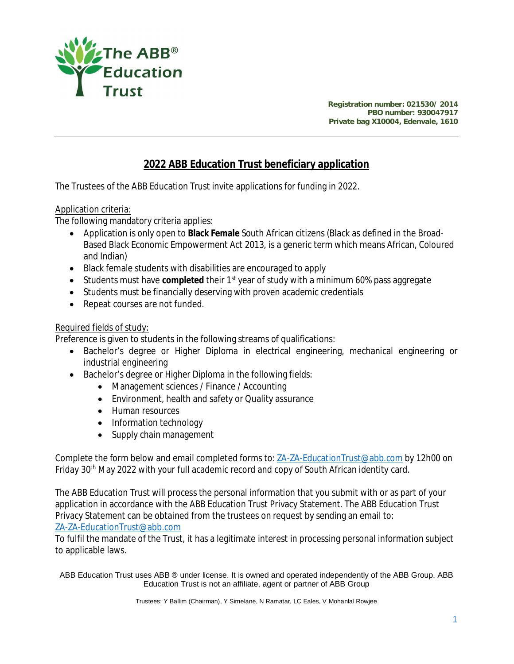

**Registration number: 021530/ 2014 PBO number: 930047917 Private bag X10004, Edenvale, 1610**

## **2022 ABB Education Trust beneficiary application**

The Trustees of the ABB Education Trust invite applications for funding in 2022.

## Application criteria:

The following mandatory criteria applies:

- Application is only open to **Black Female** South African citizens (Black as defined in the Broad-Based Black Economic Empowerment Act 2013, is a generic term which means African, Coloured and Indian)
- Black female students with disabilities are encouraged to apply
- Students must have **completed** their 1st year of study with a minimum 60% pass aggregate
- Students must be financially deserving with proven academic credentials
- Repeat courses are not funded.

## Required fields of study:

Preference is given to students in the following streams of qualifications:

- Bachelor's degree or Higher Diploma in electrical engineering, mechanical engineering or industrial engineering
- Bachelor's degree or Higher Diploma in the following fields:
	- Management sciences / Finance / Accounting
	- Environment, health and safety or Quality assurance
	- Human resources
	- Information technology
	- Supply chain management

Complete the form below and email completed forms to: ZA-ZA-EducationTrust@abb.com by 12h00 on Friday 30th May 2022 with your full academic record and copy of South African identity card.

The ABB Education Trust will process the personal information that you submit with or as part of your application in accordance with the ABB Education Trust Privacy Statement. The ABB Education Trust Privacy Statement can be obtained from the trustees on request by sending an email to: ZA-ZA-EducationTrust@abb.com

To fulfil the mandate of the Trust, it has a legitimate interest in processing personal information subject to applicable laws.

ABB Education Trust uses ABB ® under license. It is owned and operated independently of the ABB Group. ABB Education Trust is not an affiliate, agent or partner of ABB Group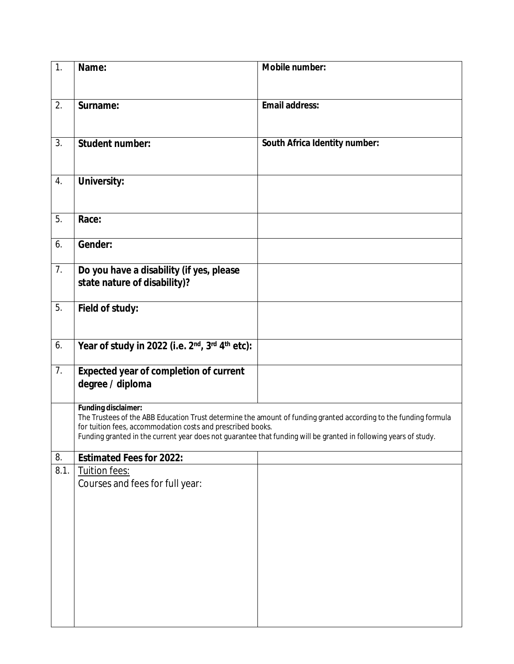| 1.   | Name:                                                                                                                                                                           | Mobile number:                                                                                                   |
|------|---------------------------------------------------------------------------------------------------------------------------------------------------------------------------------|------------------------------------------------------------------------------------------------------------------|
|      |                                                                                                                                                                                 |                                                                                                                  |
| 2.   | Surname:                                                                                                                                                                        | Email address:                                                                                                   |
|      |                                                                                                                                                                                 |                                                                                                                  |
| 3.   | Student number:                                                                                                                                                                 | South Africa Identity number:                                                                                    |
|      |                                                                                                                                                                                 |                                                                                                                  |
| 4.   | University:                                                                                                                                                                     |                                                                                                                  |
|      |                                                                                                                                                                                 |                                                                                                                  |
| 5.   | Race:                                                                                                                                                                           |                                                                                                                  |
| 6.   | Gender:                                                                                                                                                                         |                                                                                                                  |
| 7.   | Do you have a disability (if yes, please                                                                                                                                        |                                                                                                                  |
|      | state nature of disability)?                                                                                                                                                    |                                                                                                                  |
| 5.   | Field of study:                                                                                                                                                                 |                                                                                                                  |
|      |                                                                                                                                                                                 |                                                                                                                  |
| 6.   | Year of study in 2022 (i.e. 2 <sup>nd</sup> , 3 <sup>rd</sup> 4 <sup>th</sup> etc):                                                                                             |                                                                                                                  |
| 7.   | Expected year of completion of current                                                                                                                                          |                                                                                                                  |
|      | degree / diploma                                                                                                                                                                |                                                                                                                  |
|      | Funding disclaimer:                                                                                                                                                             | The Trustees of the ABB Education Trust determine the amount of funding granted according to the funding formula |
|      | for tuition fees, accommodation costs and prescribed books.<br>Funding granted in the current year does not guarantee that funding will be granted in following years of study. |                                                                                                                  |
| 8.   | Estimated Fees for 2022:                                                                                                                                                        |                                                                                                                  |
| 8.1. | Tuition fees:                                                                                                                                                                   |                                                                                                                  |
|      | Courses and fees for full year:                                                                                                                                                 |                                                                                                                  |
|      |                                                                                                                                                                                 |                                                                                                                  |
|      |                                                                                                                                                                                 |                                                                                                                  |
|      |                                                                                                                                                                                 |                                                                                                                  |
|      |                                                                                                                                                                                 |                                                                                                                  |
|      |                                                                                                                                                                                 |                                                                                                                  |
|      |                                                                                                                                                                                 |                                                                                                                  |
|      |                                                                                                                                                                                 |                                                                                                                  |
|      |                                                                                                                                                                                 |                                                                                                                  |